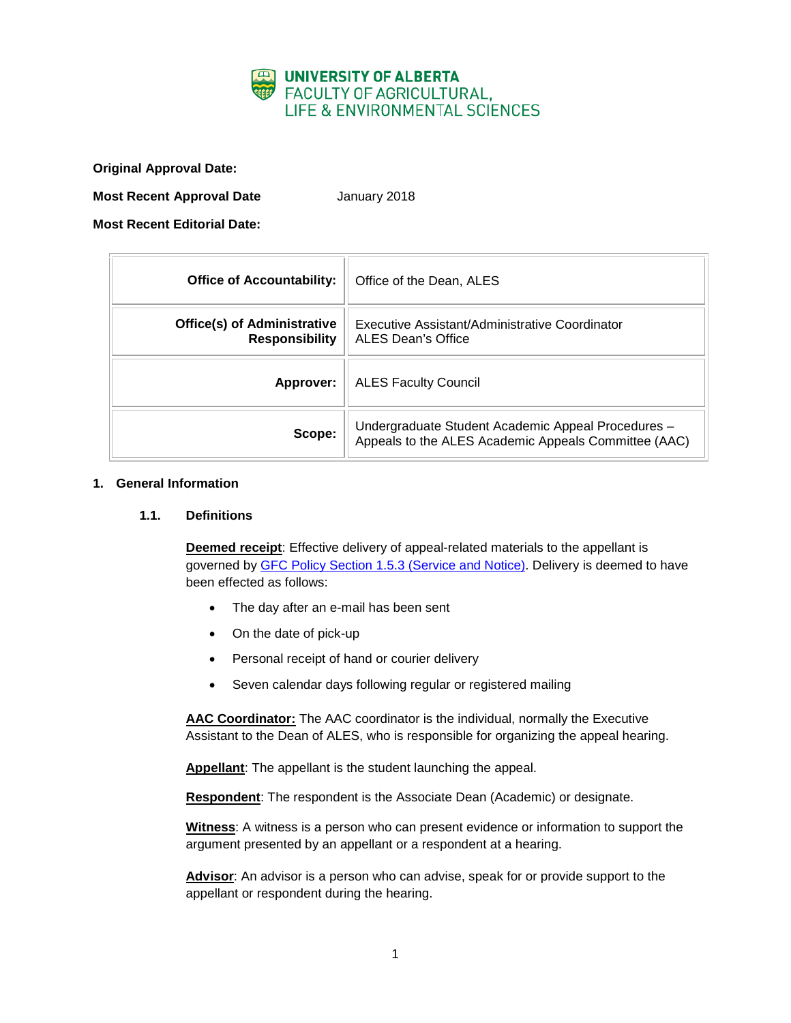

**Original Approval Date:**

**Most Recent Approval Date** January 2018

**Most Recent Editorial Date:**

| <b>Office of Accountability:</b>                            | Office of the Dean, ALES                                                                                   |
|-------------------------------------------------------------|------------------------------------------------------------------------------------------------------------|
| <b>Office(s) of Administrative</b><br><b>Responsibility</b> | Executive Assistant/Administrative Coordinator<br>ALES Dean's Office                                       |
| Approver:                                                   | <b>ALES Faculty Council</b>                                                                                |
| Scope:                                                      | Undergraduate Student Academic Appeal Procedures -<br>Appeals to the ALES Academic Appeals Committee (AAC) |

## **1. General Information**

### **1.1. Definitions**

**Deemed receipt**: Effective delivery of appeal-related materials to the appellant is governed by [GFC Policy Section 1.5.3 \(Service and Notice\).](http://www.governance.ualberta.ca/StudentAppeals/AcademicAppealsPolicy/15AppealProcedures/153ServiceandNotice.aspx) Delivery is deemed to have been effected as follows:

- The day after an e-mail has been sent
- On the date of pick-up
- Personal receipt of hand or courier delivery
- Seven calendar days following regular or registered mailing

**AAC Coordinator:** The AAC coordinator is the individual, normally the Executive Assistant to the Dean of ALES, who is responsible for organizing the appeal hearing.

**Appellant**: The appellant is the student launching the appeal.

**Respondent**: The respondent is the Associate Dean (Academic) or designate.

**Witness**: A witness is a person who can present evidence or information to support the argument presented by an appellant or a respondent at a hearing.

**Advisor**: An advisor is a person who can advise, speak for or provide support to the appellant or respondent during the hearing.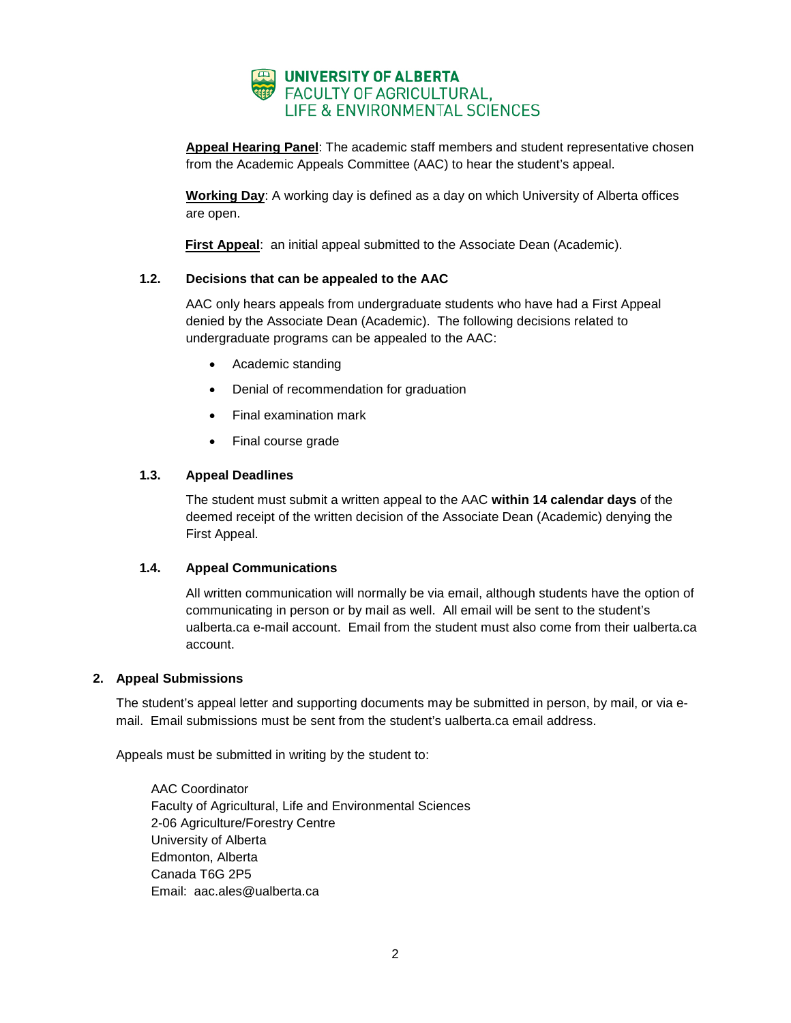

**Appeal Hearing Panel**: The academic staff members and student representative chosen from the Academic Appeals Committee (AAC) to hear the student's appeal.

**Working Day**: A working day is defined as a day on which University of Alberta offices are open.

**First Appeal**: an initial appeal submitted to the Associate Dean (Academic).

# **1.2. Decisions that can be appealed to the AAC**

AAC only hears appeals from undergraduate students who have had a First Appeal denied by the Associate Dean (Academic). The following decisions related to undergraduate programs can be appealed to the AAC:

- Academic standing
- Denial of recommendation for graduation
- Final examination mark
- Final course grade

## **1.3. Appeal Deadlines**

The student must submit a written appeal to the AAC **within 14 calendar days** of the deemed receipt of the written decision of the Associate Dean (Academic) denying the First Appeal.

### **1.4. Appeal Communications**

All written communication will normally be via email, although students have the option of communicating in person or by mail as well. All email will be sent to the student's ualberta.ca e-mail account. Email from the student must also come from their ualberta.ca account.

### **2. Appeal Submissions**

The student's appeal letter and supporting documents may be submitted in person, by mail, or via email. Email submissions must be sent from the student's ualberta.ca email address.

Appeals must be submitted in writing by the student to:

AAC Coordinator Faculty of Agricultural, Life and Environmental Sciences 2-06 Agriculture/Forestry Centre University of Alberta Edmonton, Alberta Canada T6G 2P5 Email: aac.ales@ualberta.ca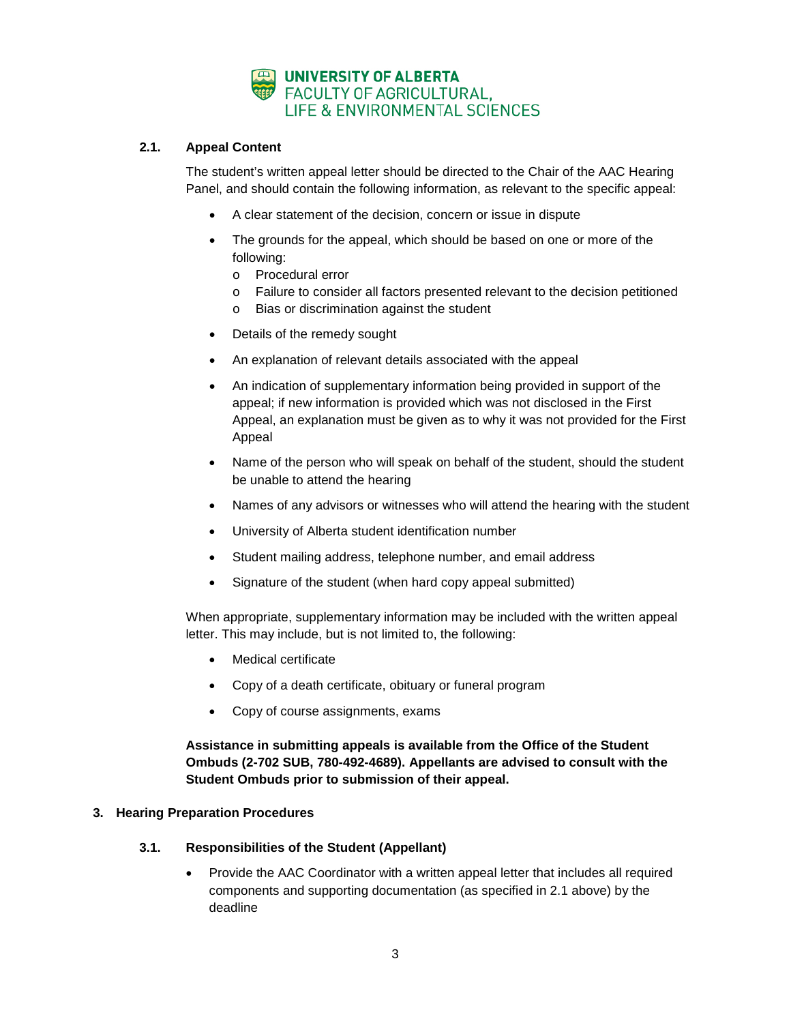

# **2.1. Appeal Content**

The student's written appeal letter should be directed to the Chair of the AAC Hearing Panel, and should contain the following information, as relevant to the specific appeal:

- A clear statement of the decision, concern or issue in dispute
- The grounds for the appeal, which should be based on one or more of the following:
	- o Procedural error
	- o Failure to consider all factors presented relevant to the decision petitioned
	- o Bias or discrimination against the student
- Details of the remedy sought
- An explanation of relevant details associated with the appeal
- An indication of supplementary information being provided in support of the appeal; if new information is provided which was not disclosed in the First Appeal, an explanation must be given as to why it was not provided for the First Appeal
- Name of the person who will speak on behalf of the student, should the student be unable to attend the hearing
- Names of any advisors or witnesses who will attend the hearing with the student
- University of Alberta student identification number
- Student mailing address, telephone number, and email address
- Signature of the student (when hard copy appeal submitted)

When appropriate, supplementary information may be included with the written appeal letter. This may include, but is not limited to, the following:

- Medical certificate
- Copy of a death certificate, obituary or funeral program
- Copy of course assignments, exams

**Assistance in submitting appeals is available from the Office of the Student Ombuds (2-702 SUB, 780-492-4689). Appellants are advised to consult with the Student Ombuds prior to submission of their appeal.**

### **3. Hearing Preparation Procedures**

- **3.1. Responsibilities of the Student (Appellant)**
	- Provide the AAC Coordinator with a written appeal letter that includes all required components and supporting documentation (as specified in 2.1 above) by the deadline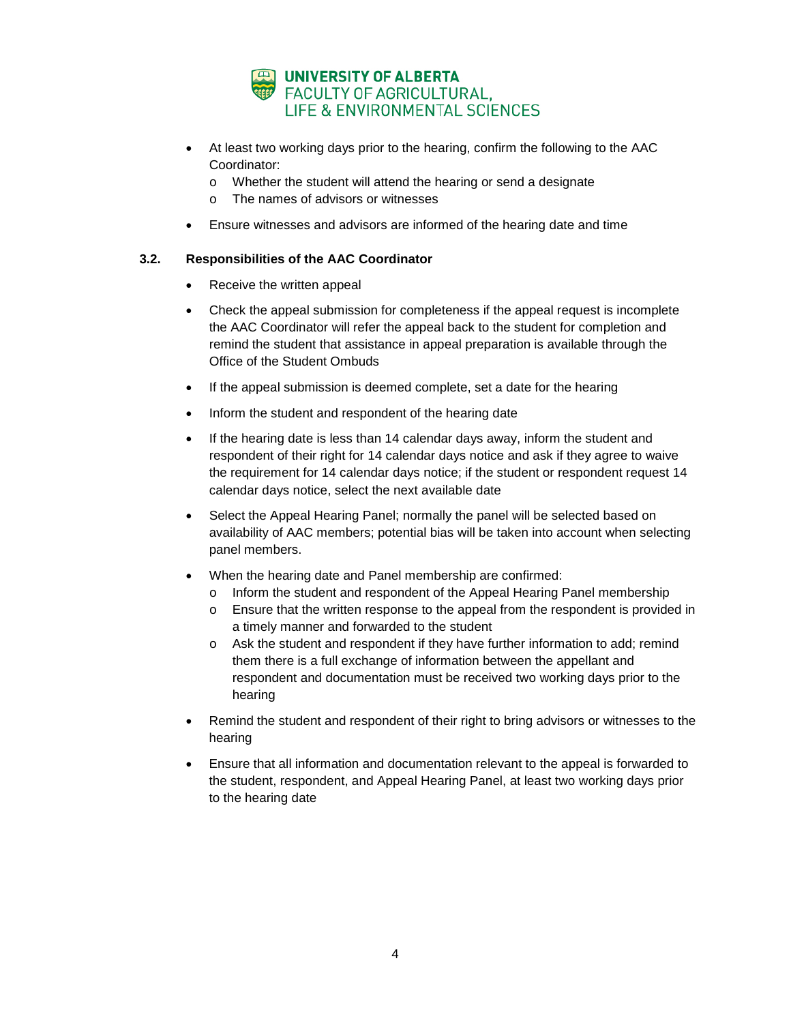

- At least two working days prior to the hearing, confirm the following to the AAC Coordinator:
	- o Whether the student will attend the hearing or send a designate
	- o The names of advisors or witnesses
- Ensure witnesses and advisors are informed of the hearing date and time

## **3.2. Responsibilities of the AAC Coordinator**

- Receive the written appeal
- Check the appeal submission for completeness if the appeal request is incomplete the AAC Coordinator will refer the appeal back to the student for completion and remind the student that assistance in appeal preparation is available through the Office of the Student Ombuds
- If the appeal submission is deemed complete, set a date for the hearing
- Inform the student and respondent of the hearing date
- If the hearing date is less than 14 calendar days away, inform the student and respondent of their right for 14 calendar days notice and ask if they agree to waive the requirement for 14 calendar days notice; if the student or respondent request 14 calendar days notice, select the next available date
- Select the Appeal Hearing Panel; normally the panel will be selected based on availability of AAC members; potential bias will be taken into account when selecting panel members.
- When the hearing date and Panel membership are confirmed:
	- o Inform the student and respondent of the Appeal Hearing Panel membership
	- o Ensure that the written response to the appeal from the respondent is provided in a timely manner and forwarded to the student
	- o Ask the student and respondent if they have further information to add; remind them there is a full exchange of information between the appellant and respondent and documentation must be received two working days prior to the hearing
- Remind the student and respondent of their right to bring advisors or witnesses to the hearing
- Ensure that all information and documentation relevant to the appeal is forwarded to the student, respondent, and Appeal Hearing Panel, at least two working days prior to the hearing date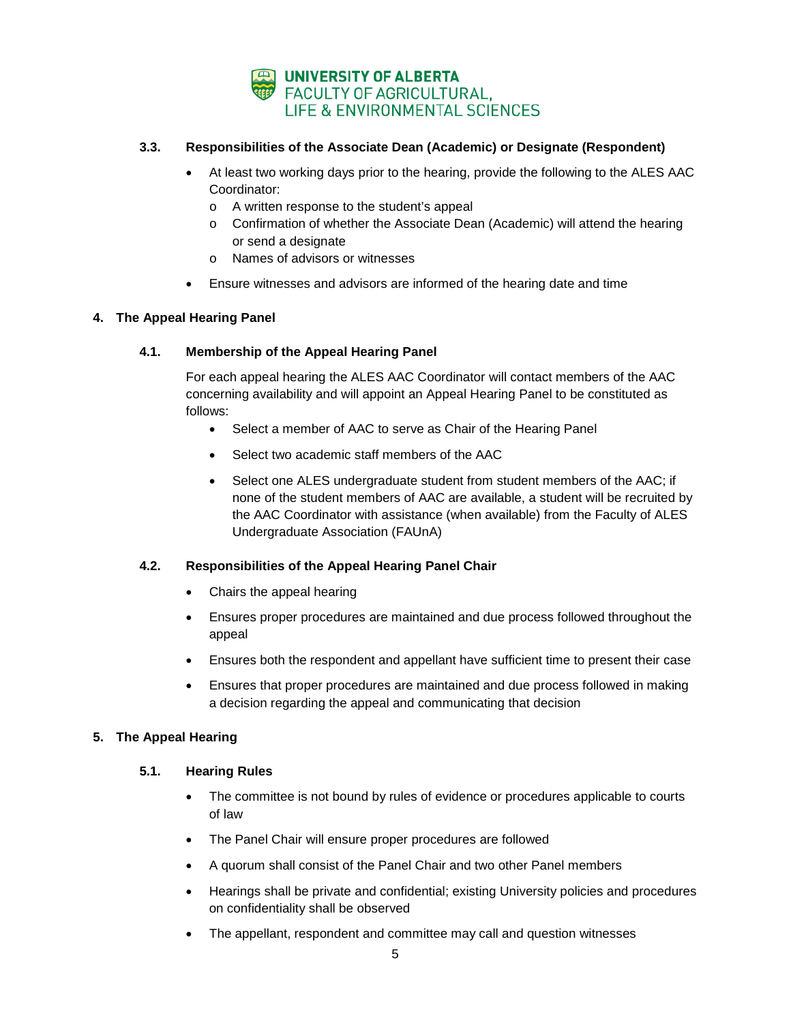

# **3.3. Responsibilities of the Associate Dean (Academic) or Designate (Respondent)**

- At least two working days prior to the hearing, provide the following to the ALES AAC Coordinator:
	- o A written response to the student's appeal
	- o Confirmation of whether the Associate Dean (Academic) will attend the hearing or send a designate
	- o Names of advisors or witnesses
- Ensure witnesses and advisors are informed of the hearing date and time

# **4. The Appeal Hearing Panel**

# **4.1. Membership of the Appeal Hearing Panel**

For each appeal hearing the ALES AAC Coordinator will contact members of the AAC concerning availability and will appoint an Appeal Hearing Panel to be constituted as follows:

- Select a member of AAC to serve as Chair of the Hearing Panel
- Select two academic staff members of the AAC
- Select one ALES undergraduate student from student members of the AAC; if none of the student members of AAC are available, a student will be recruited by the AAC Coordinator with assistance (when available) from the Faculty of ALES Undergraduate Association (FAUnA)

# **4.2. Responsibilities of the Appeal Hearing Panel Chair**

- Chairs the appeal hearing
- Ensures proper procedures are maintained and due process followed throughout the appeal
- Ensures both the respondent and appellant have sufficient time to present their case
- Ensures that proper procedures are maintained and due process followed in making a decision regarding the appeal and communicating that decision

# **5. The Appeal Hearing**

# **5.1. Hearing Rules**

- The committee is not bound by rules of evidence or procedures applicable to courts of law
- The Panel Chair will ensure proper procedures are followed
- A quorum shall consist of the Panel Chair and two other Panel members
- Hearings shall be private and confidential; existing University policies and procedures on confidentiality shall be observed
- The appellant, respondent and committee may call and question witnesses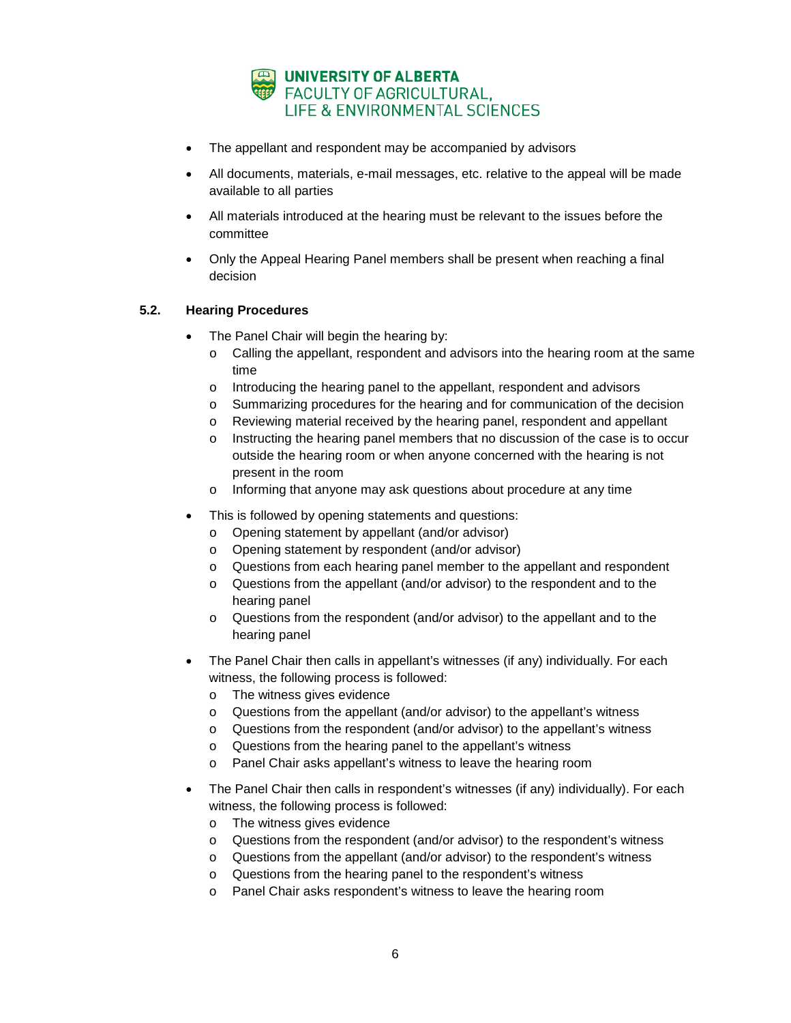

- The appellant and respondent may be accompanied by advisors
- All documents, materials, e-mail messages, etc. relative to the appeal will be made available to all parties
- All materials introduced at the hearing must be relevant to the issues before the committee
- Only the Appeal Hearing Panel members shall be present when reaching a final decision

## **5.2. Hearing Procedures**

- The Panel Chair will begin the hearing by:
	- $\circ$  Calling the appellant, respondent and advisors into the hearing room at the same time
	- o Introducing the hearing panel to the appellant, respondent and advisors
	- o Summarizing procedures for the hearing and for communication of the decision
	- o Reviewing material received by the hearing panel, respondent and appellant
	- $\circ$  Instructing the hearing panel members that no discussion of the case is to occur outside the hearing room or when anyone concerned with the hearing is not present in the room
	- o Informing that anyone may ask questions about procedure at any time
- This is followed by opening statements and questions:
	- o Opening statement by appellant (and/or advisor)
	- o Opening statement by respondent (and/or advisor)
	- o Questions from each hearing panel member to the appellant and respondent
	- o Questions from the appellant (and/or advisor) to the respondent and to the hearing panel
	- o Questions from the respondent (and/or advisor) to the appellant and to the hearing panel
- The Panel Chair then calls in appellant's witnesses (if any) individually. For each witness, the following process is followed:
	- o The witness gives evidence
	- $\circ$  Questions from the appellant (and/or advisor) to the appellant's witness
	- o Questions from the respondent (and/or advisor) to the appellant's witness
	- o Questions from the hearing panel to the appellant's witness
	- o Panel Chair asks appellant's witness to leave the hearing room
- The Panel Chair then calls in respondent's witnesses (if any) individually). For each witness, the following process is followed:
	- o The witness gives evidence
	- o Questions from the respondent (and/or advisor) to the respondent's witness
	- o Questions from the appellant (and/or advisor) to the respondent's witness
	- o Questions from the hearing panel to the respondent's witness
	- o Panel Chair asks respondent's witness to leave the hearing room